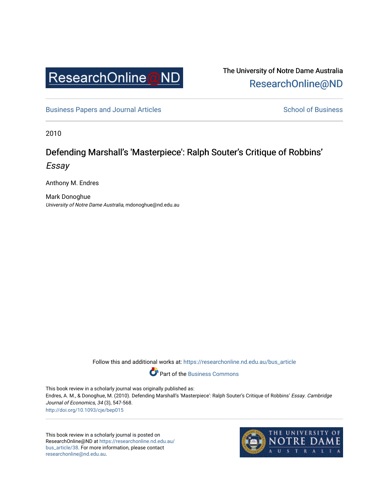

The University of Notre Dame Australia [ResearchOnline@ND](https://researchonline.nd.edu.au/) 

[Business Papers and Journal Articles](https://researchonline.nd.edu.au/bus_article) **School of Business** School of Business

2010

# Defending Marshall's 'Masterpiece': Ralph Souter's Critique of Robbins' Essay

Anthony M. Endres

Mark Donoghue University of Notre Dame Australia, mdonoghue@nd.edu.au

Follow this and additional works at: [https://researchonline.nd.edu.au/bus\\_article](https://researchonline.nd.edu.au/bus_article?utm_source=researchonline.nd.edu.au%2Fbus_article%2F38&utm_medium=PDF&utm_campaign=PDFCoverPages)

Part of the [Business Commons](http://network.bepress.com/hgg/discipline/622?utm_source=researchonline.nd.edu.au%2Fbus_article%2F38&utm_medium=PDF&utm_campaign=PDFCoverPages)

This book review in a scholarly journal was originally published as: Endres, A. M., & Donoghue, M. (2010). Defending Marshall's 'Masterpiece': Ralph Souter's Critique of Robbins' Essay. Cambridge Journal of Economics, 34 (3), 547-568. <http://doi.org/10.1093/cje/bep015>

This book review in a scholarly journal is posted on ResearchOnline@ND at [https://researchonline.nd.edu.au/](https://researchonline.nd.edu.au/bus_article/38) [bus\\_article/38](https://researchonline.nd.edu.au/bus_article/38). For more information, please contact [researchonline@nd.edu.au.](mailto:researchonline@nd.edu.au)

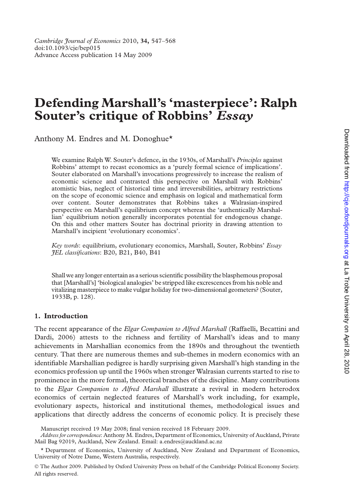# Defending Marshall's 'masterpiece': Ralph Souter's critique of Robbins' Essay

Anthony M. Endres and M. Donoghue $\star$ 

We examine Ralph W. Souter's defence, in the 1930s, of Marshall's Principles against Robbins' attempt to recast economics as a 'purely formal science of implications'. Souter elaborated on Marshall's invocations progressively to increase the realism of economic science and contrasted this perspective on Marshall with Robbins' atomistic bias, neglect of historical time and irreversibilities, arbitrary restrictions on the scope of economic science and emphasis on logical and mathematical form over content. Souter demonstrates that Robbins takes a Walrasian-inspired perspective on Marshall's equilibrium concept whereas the 'authentically Marshallian' equilibrium notion generally incorporates potential for endogenous change. On this and other matters Souter has doctrinal priority in drawing attention to Marshall's incipient 'evolutionary economics'.

Key words: equilibrium, evolutionary economics, Marshall, Souter, Robbins' Essay JEL classifications: B20, B21, B40, B41

Shall we any longer entertain as a serious scientific possibility the blasphemous proposal that [Marshall's] 'biological analogies' be stripped like excrescences from his noble and vitalizing masterpiece to make vulgar holiday for two-dimensional geometers? (Souter, 1933B, p. 128).

# 1. Introduction

The recent appearance of the *Elgar Companion to Alfred Marshall* (Raffaelli, Becattini and Dardi, 2006) attests to the richness and fertility of Marshall's ideas and to many achievements in Marshallian economics from the 1890s and throughout the twentieth century. That there are numerous themes and sub-themes in modern economics with an identifiable Marshallian pedigree is hardly surprising given Marshall's high standing in the economics profession up until the 1960s when stronger Walrasian currents started to rise to prominence in the more formal, theoretical branches of the discipline. Many contributions to the Elgar Companion to Alfred Marshall illustrate a revival in modern heterodox economics of certain neglected features of Marshall's work including, for example, evolutionary aspects, historical and institutional themes, methodological issues and applications that directly address the concerns of economic policy. It is precisely these

Address for correspondence: Anthony M. Endres, Department of Economics, University of Auckland, Private Mail Bag 92019, Auckland, New Zealand. Email: a.endres@auckland.ac.nz

\* Department of Economics, University of Auckland, New Zealand and Department of Economics, University of Notre Dame, Western Australia, respectively.

 The Author 2009. Published by Oxford University Press on behalf of the Cambridge Political Economy Society. All rights reserved.

Manuscript received 19 May 2008; final version received 18 February 2009.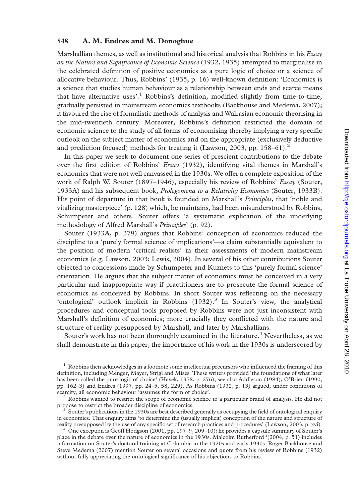Marshallian themes, as well as institutional and historical analysis that Robbins in his  $Essav$ on the Nature and Significance of Economic Science (1932, 1935) attempted to marginalise in the celebrated definition of positive economics as a pure logic of choice or a science of allocative behaviour. Thus, Robbins' (1935, p. 16) well-known definition: 'Economics is a science that studies human behaviour as a relationship between ends and scarce means that have alternative uses'.<sup>1</sup> Robbins's definition, modified slightly from time-to-time, gradually persisted in mainstream economics textbooks (Backhouse and Medema, 2007); it favoured the rise of formalistic methods of analysis and Walrasian economic theorising in the mid-twentieth century. Moreover, Robbins's definition restricted the domain of economic science to the study of all forms of economising thereby implying a very specific outlook on the subject matter of economics and on the appropriate (exclusively deductive and prediction focused) methods for treating it (Lawson, 2003, pp. 158–61).<sup>2</sup>

In this paper we seek to document one series of prescient contributions to the debate over the first edition of Robbins' Essay (1932), identifying vital themes in Marshall's economics that were not well canvassed in the 1930s. We offer a complete exposition of the work of Ralph W. Souter (1897–1946), especially his review of Robbins' *Essay* (Souter, 1933A) and his subsequent book, *Prolegomena to a Relativity Economics* (Souter, 1933B). His point of departure in that book is founded on Marshall's *Principles*, that 'noble and vitalizing masterpiece' (p. 128) which, he maintains, had been misunderstood by Robbins, Schumpeter and others. Souter offers 'a systematic explication of the underlying methodology of Alfred Marshall's Principles' (p. 92).

Souter (1933A, p. 379) argues that Robbins' conception of economics reduced the discipline to a 'purely formal science of implications'—a claim substantially equivalent to the position of modern 'critical realists' in their assessments of modern mainstream economics (e.g. Lawson, 2003; Lewis, 2004). In several of his other contributions Souter objected to concessions made by Schumpeter and Kuznets to this 'purely formal science' orientation. He argues that the subject matter of economics must be conceived in a very particular and inappropriate way if practitioners are to prosecute the formal science of economics as conceived by Robbins. In short Souter was reflecting on the necessary 'ontological' outlook implicit in Robbins (1932).<sup>3</sup> In Souter's view, the analytical procedures and conceptual tools proposed by Robbins were not just inconsistent with Marshall's definition of economics; more crucially they conflicted with the nature and structure of reality presupposed by Marshall, and later by Marshallians.

Souter's work has not been thoroughly examined in the literature.<sup>4</sup> Nevertheless, as we shall demonstrate in this paper, the importance of his work in the 1930s is underscored by

 $3<sup>3</sup>$  Souter's publications in the 1930s are best described generally as occupying the field of ontological enquiry in economics. That enquiry aims 'to determine the (usually implicit) conception of the nature and structure of

reality presupposed by the use of any specific set of research practices and procedures' (Lawson, 2003, p. xvi). <sup>4</sup> One exception is Geoff Hodgson (2001, pp. 197–9, 209–10); he provides a capsule summary of Souter's place in the debate over the nature of economics in the 1930s. Malcolm Rutherford '(2004, p. 51) includes information on Souter's doctoral training at Columbia in the 1920s and early 1930s. Roger Backhouse and Steve Medema (2007) mention Souter on several occasions and quote from his review of Robbins (1932) without fully appreciating the ontological significance of his objections to Robbins.

 $1$  Robbins then acknowledges in a footnote some intellectual precursors who influenced the framing of this definition, including Menger, Mayer, Strigl and Mises. These writers provided 'the foundations of what later has been called the pure logic of choice' (Hayek, 1978, p. 276); see also Addleson (1984); O'Brien (1990, pp. 162–3) and Endres (1997, pp. 24–5, 58, 229). As Robbins (1932, p. 13) argued, under conditions of

 $3 \times 2$  Robbins wanted to restrict the scope of economic science to a particular brand of analysis. He did not propose to restrict the broader discipline of economics.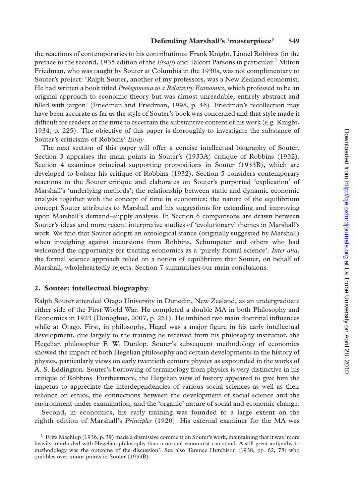#### Defending Marshall's 'masterpiece' 549

the reactions of contemporaries to his contributions: Frank Knight, Lionel Robbins (in the preface to the second, 1935 edition of the  $Essav$ ) and Talcott Parsons in particular.<sup>1</sup> Milton Friedman, who was taught by Souter at Columbia in the 1930s, was not complimentary to Souter's project: 'Ralph Souter, another of my professors, was a New Zealand economist. He had written a book titled *Prolegomena to a Relativity Economics*, which professed to be an original approach to economic theory but was almost unreadable, entirely abstract and filled with jargon' (Friedman and Friedman, 1998, p. 46). Friedman's recollection may have been accurate as far as the style of Souter's book was concerned and that style made it difficult for readers at the time to ascertain the substantive content of his work (e.g. Knight, 1934, p. 225). The objective of this paper is thoroughly to investigate the substance of Souter's criticisms of Robbins' Essay.

The next section of this paper will offer a concise intellectual biography of Souter. Section 3 appraises the main points in Souter's (1933A) critique of Robbins (1932). Section 4 examines principal supporting propositions in Souter (1933B), which are developed to bolster his critique of Robbins (1932). Section 5 considers contemporary reactions to the Souter critique and elaborates on Souter's purported 'explication' of Marshall's 'underlying methods'; the relationship between static and dynamic economic analysis together with the concept of time in economics; the nature of the equilibrium concept Souter attributes to Marshall and his suggestions for extending and improving upon Marshall's demand–supply analysis. In Section 6 comparisons are drawn between Souter's ideas and more recent interpretive studies of 'evolutionary' themes in Marshall's work. We find that Souter adopts an ontological stance (originally suggested by Marshall) when inveighing against incursions from Robbins, Schumpeter and others who had welcomed the opportunity for treating economics as a 'purely formal science'. *Inter alia*, the formal science approach relied on a notion of equilibrium that Souter, on behalf of Marshall, wholeheartedly rejects. Section 7 summarises our main conclusions.

#### 2. Souter: intellectual biography

Ralph Souter attended Otago University in Dunedin, New Zealand, as an undergraduate either side of the First World War. He completed a double MA in both Philosophy and Economics in 1923 (Donoghue, 2007, p. 261). He imbibed two main doctrinal influences while at Otago. First, in philosophy, Hegel was a major figure in his early intellectual development, due largely to the training he received from his philosophy instructor, the Hegelian philosopher F. W. Dunlop. Souter's subsequent methodology of economics showed the impact of both Hegelian philosophy and certain developments in the history of physics, particularly views on early twentieth century physics as expounded in the works of A. S. Eddington. Souter's borrowing of terminology from physics is very distinctive in his critique of Robbins. Furthermore, the Hegelian view of history appeared to give him the impetus to appreciate the interdependencies of various social sciences as well as their reliance on ethics, the connections between the development of social science and the environment under examination, and the 'organic' nature of social and economic change.

Second, in economics, his early training was founded to a large extent on the eighth edition of Marshall's Principles (1920). His external examiner for the MA was

<sup>1</sup> Fritz Machlup (1936, p. 39) made a dismissive comment on Souter's work, maintaining that it was 'more heavily interlarded with Hegelian philosophy than a normal economist can stand. A still great antipathy to methodology was the outcome of the discussion'. See also Terence Hutchison (1938, pp. 62, 78) who quibbles over minor points in Souter (1933B).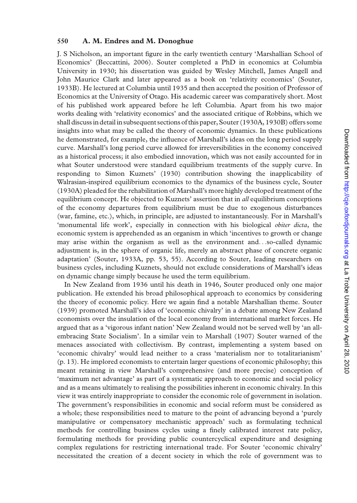J. S Nicholson, an important figure in the early twentieth century 'Marshallian School of Economics' (Beccattini, 2006). Souter completed a PhD in economics at Columbia University in 1930; his dissertation was guided by Wesley Mitchell, James Angell and John Maurice Clark and later appeared as a book on 'relativity economics' (Souter, 1933B). He lectured at Columbia until 1935 and then accepted the position of Professor of Economics at the University of Otago. His academic career was comparatively short. Most of his published work appeared before he left Columbia. Apart from his two major works dealing with 'relativity economics' and the associated critique of Robbins, which we shall discuss in detail in subsequent sections of this paper, Souter (1930A, 1930B) offers some insights into what may be called the theory of economic dynamics. In these publications he demonstrated, for example, the influence of Marshall's ideas on the long period supply curve. Marshall's long period curve allowed for irreversibilities in the economy conceived as a historical process; it also embodied innovation, which was not easily accounted for in what Souter understood were standard equilibrium treatments of the supply curve. In responding to Simon Kuznets' (1930) contribution showing the inapplicability of Walrasian-inspired equilibrium economics to the dynamics of the business cycle, Souter (1930A) pleaded for the rehabilitation of Marshall's more highly developed treatment of the equilibrium concept. He objected to Kuznets' assertion that in *all* equilibrium conceptions of the economy departures from equilibrium must be due to exogenous disturbances (war, famine, etc.), which, in principle, are adjusted to instantaneously. For in Marshall's 'monumental life work', especially in connection with his biological *obiter dicta*, the economic system is apprehended as an organism in which 'incentives to growth or change may arise within the organism as well as the environment and...so-called dynamic adjustment is, in the sphere of organic life, merely an abstract phase of concrete organic adaptation' (Souter, 1933A, pp. 53, 55). According to Souter, leading researchers on business cycles, including Kuznets, should not exclude considerations of Marshall's ideas on dynamic change simply because he used the term equilibrium.

In New Zealand from 1936 until his death in 1946, Souter produced only one major publication. He extended his broad philosophical approach to economics by considering the theory of economic policy. Here we again find a notable Marshallian theme. Souter (1939) promoted Marshall's idea of 'economic chivalry' in a debate among New Zealand economists over the insulation of the local economy from international market forces. He argued that as a 'vigorous infant nation' New Zealand would not be served well by 'an allembracing State Socialism'. In a similar vein to Marshall (1907) Souter warned of the menaces associated with collectivism. By contrast, implementing a system based on 'economic chivalry' would lead neither to a crass 'materialism nor to totalitarianism' (p. 13). He implored economists to entertain larger questions of economic philosophy; this meant retaining in view Marshall's comprehensive (and more precise) conception of 'maximum net advantage' as part of a systematic approach to economic and social policy and as a means ultimately to realising the possibilities inherent in economic chivalry. In this view it was entirely inappropriate to consider the economic role of government in isolation. The government's responsibilities in economic and social reform must be considered as a whole; these responsibilities need to mature to the point of advancing beyond a 'purely manipulative or compensatory mechanistic approach' such as formulating technical methods for controlling business cycles using a finely calibrated interest rate policy, formulating methods for providing public countercyclical expenditure and designing complex regulations for restricting international trade. For Souter 'economic chivalry' necessitated the creation of a decent society in which the role of government was to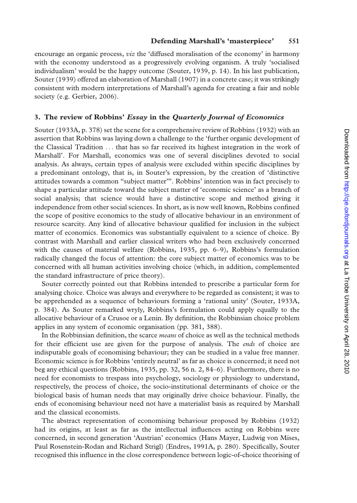encourage an organic process, viz the 'diffused moralisation of the economy' in harmony with the economy understood as a progressively evolving organism. A truly 'socialised individualism' would be the happy outcome (Souter, 1939, p. 14). In his last publication, Souter (1939) offered an elaboration of Marshall (1907) in a concrete case; it was strikingly consistent with modern interpretations of Marshall's agenda for creating a fair and noble society (e.g. Gerbier, 2006).

# 3. The review of Robbins' Essay in the Quarterly Journal of Economics

Souter (1933A, p. 378) set the scene for a comprehensive review of Robbins (1932) with an assertion that Robbins was laying down a challenge to the 'further organic development of the Classical Tradition ... that has so far received its highest integration in the work of Marshall'. For Marshall, economics was one of several disciplines devoted to social analysis. As always, certain types of analysis were excluded within specific disciplines by a predominant ontology, that is, in Souter's expression, by the creation of 'distinctive attitudes towards a common ''subject matter'''. Robbins' intention was in fact precisely to shape a particular attitude toward the subject matter of 'economic science' as a branch of social analysis; that science would have a distinctive scope and method giving it independence from other social sciences. In short, as is now well known, Robbins confined the scope of positive economics to the study of allocative behaviour in an environment of resource scarcity. Any kind of allocative behaviour qualified for inclusion in the subject matter of economics. Economics was substantially equivalent to a science of choice. By contrast with Marshall and earlier classical writers who had been exclusively concerned with the causes of material welfare (Robbins, 1935, pp. 6–9), Robbins's formulation radically changed the focus of attention: the core subject matter of economics was to be concerned with all human activities involving choice (which, in addition, complemented the standard infrastructure of price theory).

Souter correctly pointed out that Robbins intended to prescribe a particular form for analysing choice. Choice was always and everywhere to be regarded as consistent; it was to be apprehended as a sequence of behaviours forming a 'rational unity' (Souter, 1933A, p. 384). As Souter remarked wryly, Robbins's formulation could apply equally to the allocative behaviour of a Crusoe or a Lenin. By definition, the Robbinsian choice problem applies in any system of economic organisation (pp. 381, 388).

In the Robbinsian definition, the scarce *means* of choice as well as the technical methods for their efficient use are given for the purpose of analysis. The ends of choice are indisputable goals of economising behaviour; they can be studied in a value free manner. Economic science is for Robbins 'entirely neutral' as far as choice is concerned; it need not beg any ethical questions (Robbins, 1935, pp. 32, 56 n. 2, 84–6). Furthermore, there is no need for economists to trespass into psychology, sociology or physiology to understand, respectively, the process of choice, the socio-institutional determinants of choice or the biological basis of human needs that may originally drive choice behaviour. Finally, the ends of economising behaviour need not have a materialist basis as required by Marshall and the classical economists.

The abstract representation of economising behaviour proposed by Robbins (1932) had its origins, at least as far as the intellectual influences acting on Robbins were concerned, in second generation 'Austrian' economics (Hans Mayer, Ludwig von Mises, Paul Rosenstein-Rodan and Richard Strigl) (Endres, 1991A, p. 280). Specifically, Souter recognised this influence in the close correspondence between logic-of-choice theorising of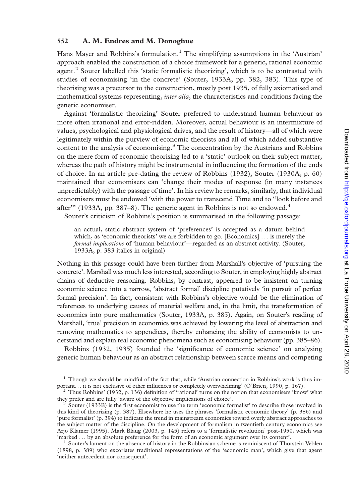Hans Mayer and Robbins's formulation.<sup>1</sup> The simplifying assumptions in the 'Austrian' approach enabled the construction of a choice framework for a generic, rational economic agent.<sup>2</sup> Souter labelled this 'static formalistic theorizing', which is to be contrasted with studies of economising 'in the concrete' (Souter, 1933A, pp. 382, 383). This type of theorising was a precursor to the construction, mostly post 1935, of fully axiomatised and mathematical systems representing, *inter alia*, the characteristics and conditions facing the generic economiser.

Against 'formalistic theorizing' Souter preferred to understand human behaviour as more often irrational and error-ridden. Moreover, actual behaviour is an intermixture of values, psychological and physiological drives, and the result of history—all of which were legitimately within the purview of economic theorists and all of which added substantive content to the analysis of economising. $3$  The concentration by the Austrians and Robbins on the mere form of economic theorising led to a 'static' outlook on their subject matter, whereas the path of history might be instrumental in influencing the formation of the ends of choice. In an article pre-dating the review of Robbins (1932), Souter (1930A, p. 60) maintained that economisers can 'change their modes of response (in many instances unpredictably) with the passage of time'. In his review he remarks, similarly, that individual economisers must be endowed 'with the power to transcend Time and to ''look before and after"' (1933A, pp. 387–8). The generic agent in Robbins is not so endowed.<sup>4</sup>

Souter's criticism of Robbins's position is summarised in the following passage:

an actual, static abstract system of 'preferences' is accepted as a datum behind which, as 'economic theorists' we are forbidden to go. [Economics] ... is merely the formal implications of 'human behaviour'—regarded as an abstract activity. (Souter, 1933A, p. 383 italics in original)

Nothing in this passage could have been further from Marshall's objective of 'pursuing the concrete'. Marshall was much less interested, according to Souter, in employing highly abstract chains of deductive reasoning. Robbins, by contrast, appeared to be insistent on turning economic science into a narrow, 'abstract formal' discipline putatively 'in pursuit of perfect formal precision'. In fact, consistent with Robbins's objective would be the elimination of references to underlying causes of material welfare and, in the limit, the transformation of economics into pure mathematics (Souter, 1933A, p. 385). Again, on Souter's reading of Marshall, 'true' precision in economics was achieved by lowering the level of abstraction and removing mathematics to appendices, thereby enhancing the ability of economists to understand and explain real economic phenomena such as economising behaviour (pp. 385–86).

Robbins (1932, 1935) founded the 'significance of economic science' on analysing generic human behaviour as an abstract relationship between scarce means and competing

 $1$  Though we should be mindful of the fact that, while 'Austrian connection in Robbins's work is thus im-

portant... it is not exclusive of other influences or completely overwhelming' (O'Brien, 1990, p. 167).<br><sup>2</sup> Thus Robbins' (1932, p. 136) definition of 'rational' turns on the notion that economisers 'know' what

they prefer and are fully 'aware of the objective implications of choice'.<br><sup>3</sup> Souter (1933B) is the first economist to use the term 'economic formalist' to describe those involved in this kind of theorizing (p. 387). Elsewhere he uses the phrases 'formalistic economic theory' (p. 386) and 'pure formalist' (p. 394) to indicate the trend in mainstream economics toward overly abstract approaches to the subject matter of the discipline. On the development of formalism in twentieth century economics see Arjo Klamer (1995). Mark Blaug (2003, p. 145) refers to a 'formalistic revolution' post-1950, which was 'marked ... by an absolute preference for the form of an economic argument over its content'. <sup>4</sup> Souter's lament on the absence of history in the Robbinsian scheme is reminiscent of Thorstein Veblen

<sup>(1898,</sup> p. 389) who excoriates traditional representations of the 'economic man', which give that agent 'neither antecedent nor consequent'.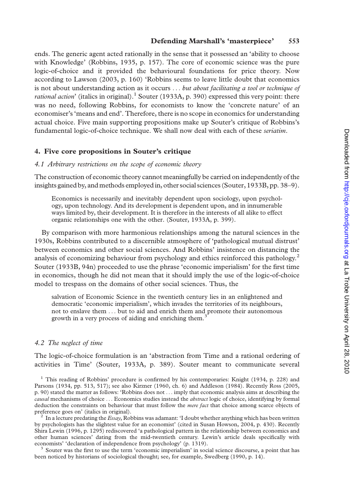ends. The generic agent acted rationally in the sense that it possessed an 'ability to choose with Knowledge' (Robbins, 1935, p. 157). The core of economic science was the pure logic-of-choice and it provided the behavioural foundations for price theory. Now according to Lawson (2003, p. 160) 'Robbins seems to leave little doubt that economics is not about understanding action as it occurs ... but about facilitating a tool or technique of *rational action'* (italics in original).<sup>1</sup> Souter (1933A, p. 390) expressed this very point: there was no need, following Robbins, for economists to know the 'concrete nature' of an economiser's 'means and end'. Therefore, there is no scope in economics for understanding actual choice. Five main supporting propositions make up Souter's critique of Robbins's fundamental logic-of-choice technique. We shall now deal with each of these seriatim.

## 4. Five core propositions in Souter's critique

## 4.1 Arbitrary restrictions on the scope of economic theory

The construction of economic theory cannot meaningfully be carried on independently of the insights gained by, and methods employed in, other social sciences (Souter, 1933B, pp. 38–9).

Economics is necessarily and inevitably dependent upon sociology, upon psychology, upon technology. And its development is dependent upon, and in innumerable ways limited by, their development. It is therefore in the interests of all alike to effect organic relationships one with the other. (Souter, 1933A, p. 399).

By comparison with more harmonious relationships among the natural sciences in the 1930s, Robbins contributed to a discernible atmosphere of 'pathological mutual distrust' between economics and other social sciences. And Robbins' insistence on distancing the analysis of economizing behaviour from psychology and ethics reinforced this pathology.<sup>2</sup> Souter (1933B, 94n) proceeded to use the phrase 'economic imperialism' for the first time in economics, though he did not mean that it should imply the use of the logic-of-choice model to trespass on the domains of other social sciences. Thus, the

salvation of Economic Science in the twentieth century lies in an enlightened and democratic 'economic imperialism', which invades the territories of its neighbours, not to enslave them ... but to aid and enrich them and promote their autonomous growth in a very process of aiding and enriching them.<sup>3</sup>

# 4.2 The neglect of time

The logic-of-choice formulation is an 'abstraction from Time and a rational ordering of activities in Time' (Souter, 1933A, p. 389). Souter meant to communicate several

<sup>1</sup> This reading of Robbins' procedure is confirmed by his contemporaries: Knight (1934, p. 228) and Parsons (1934, pp. 513, 517); see also Kirzner (1960, ch. 6) and Addleson (1984). Recently Ross (2005, p. 90) stated the matter as follows: 'Robbins does not ... imply that economic analysis aims at describing the causal mechanisms of choice ... Economics studies instead the *abstract* logic of choice, identifying by formal deduction the constraints on behaviour that must follow the *mere fact* that choice among scarce objects of preference goes on' (italics in original).<br><sup>2</sup> In a lecture predating the *Essay*, Robbins was adamant: 'I doubt whether anything which has been written

by psychologists has the slightest value for an economist' (cited in Susan Howson, 2004, p. 430). Recently Shira Lewin (1996, p. 1295) rediscovered 'a pathological pattern in the relationship between economics and other human sciences' dating from the mid-twentieth century. Lewin's article deals specifically with economists' 'declaration of independence from psychology' (p. 1319).<br><sup>3</sup> Souter was the first to use the term 'economic imperialism' in social science discourse, a point that has

been noticed by historians of sociological thought; see, for example, Swedberg (1990, p. 14).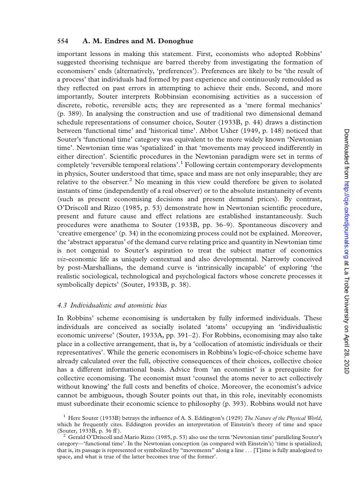important lessons in making this statement. First, economists who adopted Robbins' suggested theorising technique are barred thereby from investigating the formation of economisers' ends (alternatively, 'preferences'). Preferences are likely to be 'the result of a process' that individuals had formed by past experience and continuously remoulded as they reflected on past errors in attempting to achieve their ends. Second, and more importantly, Souter interprets Robbinsian economising activities as a succession of discrete, robotic, reversible acts; they are represented as a 'mere formal mechanics' (p. 389). In analysing the construction and use of traditional two dimensional demand schedule representations of consumer choice, Souter (1933B, p. 44) draws a distinction between 'functional time' and 'historical time'. Abbot Usher (1949, p. 148) noticed that Souter's 'functional time' category was equivalent to the more widely known 'Newtonian time'. Newtonian time was 'spatialized' in that 'movements may proceed indifferently in either direction'. Scientific procedures in the Newtonian paradigm were set in terms of completely 'reversible temporal relations'.<sup>1</sup> Following certain contemporary developments in physics, Souter understood that time, space and mass are not only inseparable; they are relative to the observer.<sup>2</sup> No meaning in this view could therefore be given to isolated instants of time (independently of a real observer) or to the absolute instantaneity of events (such as present economising decisions and present demand prices). By contrast, O'Driscoll and Rizzo (1985, p. 53) demonstrate how in Newtonian scientific procedure, present and future cause and effect relations are established instantaneously. Such procedures were anathema to Souter (1933B, pp. 36–9). Spontaneous discovery and 'creative emergence' (p. 34) in the economizing process could not be explained. Moreover, the 'abstract apparatus' of the demand curve relating price and quantity in Newtonian time is not congenial to Souter's aspiration to treat the subject matter of economics viz-economic life as uniquely contextual and also developmental. Narrowly conceived by post-Marshallians, the demand curve is 'intrinsically incapable' of exploring 'the realistic sociological, technological and psychological factors whose concrete processes it symbolically depicts' (Souter, 1933B, p. 38).

# 4.3 Individualistic and atomistic bias

In Robbins' scheme economising is undertaken by fully informed individuals. These individuals are conceived as socially isolated 'atoms' occupying an 'individualistic economic universe' (Souter, 1933A, pp. 391–2). For Robbins, economising may also take place in a collective arrangement, that is, by a 'collocation of atomistic individuals or their representatives'. While the generic economisers in Robbins's logic-of-choice scheme have already calculated over the full, objective consequences of their choices, collective choice has a different informational basis. Advice from 'an economist' is a prerequisite for collective economising. The economist must 'counsel the atoms never to act collectively without knowing' the full costs and benefits of choice. Moreover, the economist's advice cannot be ambiguous, though Souter points out that, in this role, inevitably economists must subordinate their economic science to philosophy (p. 393). Robbins would not have

<sup>&</sup>lt;sup>1</sup> Here Souter (1933B) betrays the influence of A. S. Eddington's (1929) The Nature of the Physical World, which he frequently cites. Eddington provides an interpretation of Einstein's theory of time and space (Souter, 1933B, p. 36 ff).

<sup>&</sup>lt;sup>2</sup> Gerald O'Driscoll and Mario Rizzo (1985, p. 53) also use the term 'Newtonian time' paralleling Souter's category—'functional time'. In the Newtonian conception (as compared with Einstein's) 'time is spatialized; that is, its passage is represented or symbolized by ''movements'' along a line ... [T]ime is fully analogized to space, and what is true of the latter becomes true of the former'.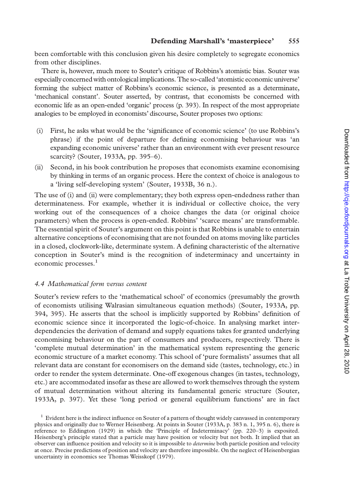been comfortable with this conclusion given his desire completely to segregate economics from other disciplines.

There is, however, much more to Souter's critique of Robbins's atomistic bias. Souter was especially concerned with ontological implications. The so-called 'atomistic economic universe' forming the subject matter of Robbins's economic science, is presented as a determinate, 'mechanical constant'. Souter asserted, by contrast, that economists be concerned with economic life as an open-ended 'organic' process (p. 393). In respect of the most appropriate analogies to be employed in economists' discourse, Souter proposes two options:

- (i) First, he asks what would be the 'significance of economic science' (to use Robbins's phrase) if the point of departure for defining economising behaviour was 'an expanding economic universe' rather than an environment with ever present resource scarcity? (Souter, 1933A, pp. 395–6).
- (ii) Second, in his book contribution he proposes that economists examine economising by thinking in terms of an organic process. Here the context of choice is analogous to a 'living self-developing system' (Souter, 1933B, 36 n.).

The use of (i) and (ii) were complementary; they both express open-endedness rather than determinateness. For example, whether it is individual or collective choice, the very working out of the consequences of a choice changes the data (or original choice parameters) when the process is open-ended. Robbins' 'scarce means' are transformable. The essential spirit of Souter's argument on this point is that Robbins is unable to entertain alternative conceptions of economising that are not founded on atoms moving like particles in a closed, clockwork-like, determinate system. A defining characteristic of the alternative conception in Souter's mind is the recognition of indeterminacy and uncertainty in economic processes.<sup>1</sup>

## 4.4 Mathematical form versus content

Souter's review refers to the 'mathematical school' of economics (presumably the growth of economists utilising Walrasian simultaneous equation methods) (Souter, 1933A, pp. 394, 395). He asserts that the school is implicitly supported by Robbins' definition of economic science since it incorporated the logic-of-choice. In analysing market interdependencies the derivation of demand and supply equations takes for granted underlying economising behaviour on the part of consumers and producers, respectively. There is 'complete mutual determination' in the mathematical system representing the generic economic structure of a market economy. This school of 'pure formalists' assumes that all relevant data are constant for economisers on the demand side (tastes, technology, etc.) in order to render the system determinate. One-off exogenous changes (in tastes, technology, etc.) are accommodated insofar as these are allowed to work themselves through the system of mutual determination without altering its fundamental generic structure (Souter, 1933A, p. 397). Yet these 'long period or general equilibrium functions' are in fact

 $<sup>1</sup>$  Evident here is the indirect influence on Souter of a pattern of thought widely canvassed in contemporary</sup> physics and originally due to Werner Heisenberg. At points in Souter (1933A, p. 383 n. 1, 395 n. 6), there is reference to Eddington (1929) in which the 'Principle of Indeterminacy' (pp. 220–3) is exposited. Heisenberg's principle stated that a particle may have position or velocity but not both. It implied that an observer can influence position and velocity so it is impossible to determine both particle position and velocity at once. Precise predictions of position and velocity are therefore impossible. On the neglect of Heisenbergian uncertainty in economics see Thomas Weisskopf (1979).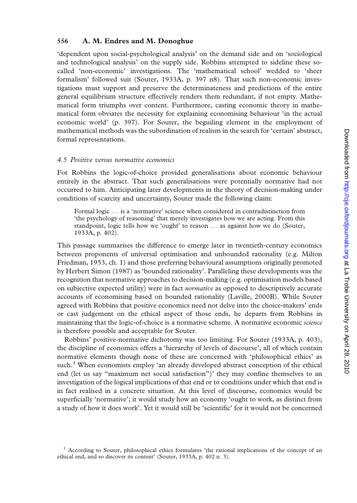'dependent upon social-psychological analysis' on the demand side and on 'sociological and technological analysis' on the supply side. Robbins attempted to sideline these socalled 'non-economic' investigations. The 'mathematical school' wedded to 'sheer formalism' followed suit (Souter, 1933A, p. 397 n8). That such non-economic investigations must support and preserve the determinateness and predictions of the entire general equilibrium structure effectively renders them redundant, if not empty. Mathematical form triumphs over content. Furthermore, casting economic theory in mathematical form obviates the necessity for explaining economising behaviour 'in the actual economic world' (p. 397). For Souter, the beguiling element in the employment of mathematical methods was the subordination of realism in the search for 'certain' abstract, formal representations.

## 4.5 Positive versus normative economics

For Robbins the logic-of-choice provided generalisations about economic behaviour entirely in the abstract. That such generalisations were potentially normative had not occurred to him. Anticipating later developments in the theory of decision-making under conditions of scarcity and uncertainty, Souter made the following claim:

Formal logic ... is a 'normative' science when considered in contradistinction from 'the psychology of reasoning' that merely investigates how we are acting. From this standpoint, logic tells how we 'ought' to reason ... as against how we do (Souter, 1933A, p. 402).

This passage summarises the difference to emerge later in twentieth-century economics between proponents of universal optimisation and unbounded rationality (e.g. Milton Friedman, 1953, ch. 1) and those preferring behavioural assumptions originally promoted by Herbert Simon (1987) as 'bounded rationality'. Paralleling these developments was the recognition that normative approaches to decision-making (e.g. optimisation models based on subjective expected utility) were in fact *normative* as opposed to descriptively accurate accounts of economising based on bounded rationality (Laville, 2000B). While Souter agreed with Robbins that positive economics need not delve into the choice-makers' ends or cast judgement on the ethical aspect of those ends, he departs from Robbins in maintaining that the logic-of-choice is a normative scheme. A normative economic science is therefore possible and acceptable for Souter.

Robbins' positive-normative dichotomy was too limiting. For Souter (1933A, p. 403), the discipline of economics offers a 'hierarchy of levels of discourse', all of which contain normative elements though none of these are concerned with 'philosophical ethics' as such.<sup>1</sup> When economists employ 'an already developed abstract conception of the ethical end (let us say ''maximum net social satisfaction'')' they may confine themselves to an investigation of the logical implications of that end or to conditions under which that end is in fact realised in a concrete situation. At this level of discourse, economics would be superficially 'normative'; it would study how an economy 'ought to work, as distinct from a study of how it does work'. Yet it would still be 'scientific' for it would not be concerned

<sup>&</sup>lt;sup>1</sup> According to Souter, philosophical ethics formulates 'the rational implications of the concept of an ethical end, and so discover its content' (Souter, 1933A, p. 402 n. 3).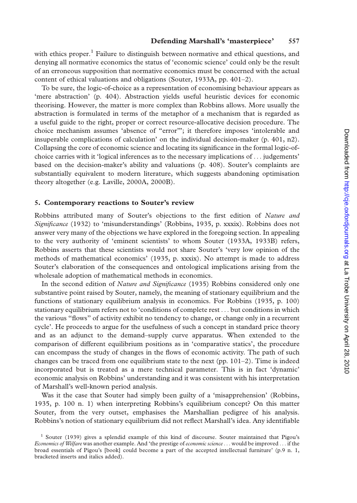with ethics proper.<sup>1</sup> Failure to distinguish between normative and ethical questions, and denying all normative economics the status of 'economic science' could only be the result of an erroneous supposition that normative economics must be concerned with the actual content of ethical valuations and obligations (Souter, 1933A, pp. 401–2).

To be sure, the logic-of-choice as a representation of economising behaviour appears as 'mere abstraction' (p. 404). Abstraction yields useful heuristic devices for economic theorising. However, the matter is more complex than Robbins allows. More usually the abstraction is formulated in terms of the metaphor of a mechanism that is regarded as a useful guide to the right, proper or correct resource-allocative decision procedure. The choice mechanism assumes 'absence of ''error'''; it therefore imposes 'intolerable and insuperable complications of calculation' on the individual decision-maker (p. 401, n2). Collapsing the core of economic science and locating its significance in the formal logic-ofchoice carries with it 'logical inferences as to the necessary implications of ... judgements' based on the decision-maker's ability and valuations (p. 408). Souter's complaints are substantially equivalent to modern literature, which suggests abandoning optimisation theory altogether (e.g. Laville, 2000A, 2000B).

#### 5. Contemporary reactions to Souter's review

Robbins attributed many of Souter's objections to the first edition of Nature and Significance (1932) to 'misunderstandings' (Robbins, 1935, p. xxxix). Robbins does not answer very many of the objections we have explored in the foregoing section. In appealing to the very authority of 'eminent scientists' to whom Souter (1933A, 1933B) refers, Robbins asserts that these scientists would not share Souter's 'very low opinion of the methods of mathematical economics' (1935, p. xxxix). No attempt is made to address Souter's elaboration of the consequences and ontological implications arising from the wholesale adoption of mathematical methods in economics.

In the second edition of Nature and Significance (1935) Robbins considered only one substantive point raised by Souter, namely, the meaning of stationary equilibrium and the functions of stationary equilibrium analysis in economics. For Robbins (1935, p. 100) stationary equilibrium refers not to 'conditions of complete rest ... but conditions in which the various ''flows'' of activity exhibit no tendency to change, or change only in a recurrent cycle'. He proceeds to argue for the usefulness of such a concept in standard price theory and as an adjunct to the demand–supply curve apparatus. When extended to the comparison of different equilibrium positions as in 'comparative statics', the procedure can encompass the study of changes in the flows of economic activity. The path of such changes can be traced from one equilibrium state to the next (pp.  $101-2$ ). Time is indeed incorporated but is treated as a mere technical parameter. This is in fact 'dynamic' economic analysis on Robbins' understanding and it was consistent with his interpretation of Marshall's well-known period analysis.

Was it the case that Souter had simply been guilty of a 'misapprehension' (Robbins, 1935, p. 100 n. 1) when interpreting Robbins's equilibrium concept? On this matter Souter, from the very outset, emphasises the Marshallian pedigree of his analysis. Robbins's notion of stationary equilibrium did not reflect Marshall's idea. Any identifiable

<sup>&</sup>lt;sup>1</sup> Souter (1939) gives a splendid example of this kind of discourse. Souter maintained that Pigou's Economics of Welfare was another example. And 'the prestige of economic science ... would be improved ... if the broad essentials of Pigou's [book] could become a part of the accepted intellectual furniture' (p.9 n. 1, bracketed inserts and italics added).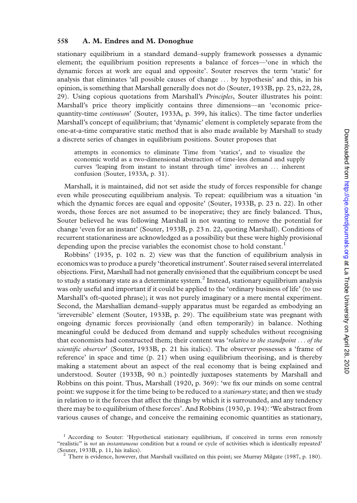stationary equilibrium in a standard demand–supply framework possesses a dynamic element; the equilibrium position represents a balance of forces—'one in which the dynamic forces at work are equal and opposite'. Souter reserves the term 'static' for analysis that eliminates 'all possible causes of change ... by hypothesis' and this, in his opinion, is something that Marshall generally does not do (Souter, 1933B, pp. 23, n22, 28, 29). Using copious quotations from Marshall's Principles, Souter illustrates his point: Marshall's price theory implicitly contains three dimensions—an 'economic pricequantity-time *continuum'* (Souter, 1933A, p. 399, his italics). The time factor underlies Marshall's concept of equilibrium; that 'dynamic' element is completely separate from the one-at-a-time comparative static method that is also made available by Marshall to study a discrete series of changes in equilibrium positions. Souter proposes that

attempts in economics to eliminate Time from 'statics', and to visualize the economic world as a two-dimensional abstraction of time-less demand and supply curves 'leaping from instant to instant through time' involves an ... inherent confusion (Souter, 1933A, p. 31).

Marshall, it is maintained, did not set aside the study of forces responsible for change even while prosecuting equilibrium analysis. To repeat: equilibrium was a situation 'in which the dynamic forces are equal and opposite' (Souter, 1933B, p. 23 n. 22). In other words, those forces are not assumed to be inoperative; they are finely balanced. Thus, Souter believed he was following Marshall in not wanting to remove the potential for change 'even for an instant' (Souter, 1933B, p. 23 n. 22, quoting Marshall). Conditions of recurrent stationariness are acknowledged as a possibility but these were highly provisional depending upon the precise variables the economist chose to hold constant.<sup>1</sup>

Robbins' (1935, p. 102 n. 2) view was that the function of equilibrium analysis in economics was to produce a purely 'theoretical instrument'. Souter raised several interrelated objections. First, Marshall had not generally envisioned that the equilibrium concept be used to study a stationary state as a determinate system.<sup>2</sup> Instead, stationary equilibrium analysis was only useful and important if it could be applied to the 'ordinary business of life' (to use Marshall's oft-quoted phrase); it was not purely imaginary or a mere mental experiment. Second, the Marshallian demand–supply apparatus must be regarded as embodying an 'irreversible' element (Souter, 1933B, p. 29). The equilibrium state was pregnant with ongoing dynamic forces provisionally (and often temporarily) in balance. Nothing meaningful could be deduced from demand and supply schedules without recognising that economists had constructed them; their content was 'relative to the standpoint ... of the scientific observer' (Souter, 1933B, p. 21 his italics). The observer possesses a 'frame of reference' in space and time (p. 21) when using equilibrium theorising, and is thereby making a statement about an aspect of the real economy that is being explained and understood. Souter (1933B, 90 n.) pointedly juxtaposes statements by Marshall and Robbins on this point. Thus, Marshall (1920, p. 369): 'we fix our minds on some central point: we suppose it for the time being to be reduced to a *stationary* state; and then we study in relation to it the forces that affect the things by which it is surrounded, and any tendency there may be to equilibrium of these forces'. And Robbins (1930, p. 194): 'We abstract from various causes of change, and conceive the remaining economic quantities as stationary,

<sup>&</sup>lt;sup>1</sup> According to Souter: 'Hypothetical stationary equilibrium, if conceived in terms even remotely "realistic" is not an instantaneous condition but a round or cycle of activities which is identically repeated' (Souter, 1933B, p. 11, his italics).

<sup>&</sup>lt;sup>2</sup> There is evidence, however, that Marshall vacillated on this point; see Murray Milgate (1987, p. 180).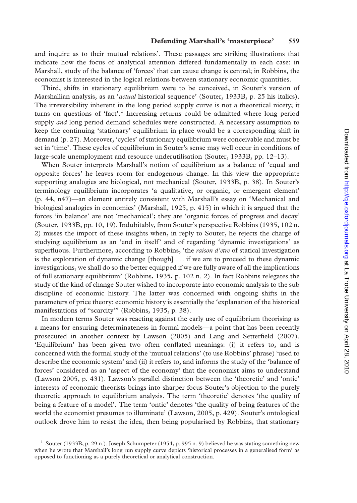and inquire as to their mutual relations'. These passages are striking illustrations that indicate how the focus of analytical attention differed fundamentally in each case: in Marshall, study of the balance of 'forces' that can cause change is central; in Robbins, the economist is interested in the logical relations between stationary economic quantities.

Third, shifts in stationary equilibrium were to be conceived, in Souter's version of Marshallian analysis, as an 'actual historical sequence' (Souter, 1933B, p. 25 his italics). The irreversibility inherent in the long period supply curve is not a theoretical nicety; it turns on questions of 'fact'.<sup>1</sup> Increasing returns could be admitted where long period supply *and* long period demand schedules were constructed. A necessary assumption to keep the continuing 'stationary' equilibrium in place would be a corresponding shift in demand (p. 27). Moreover, 'cycles' of stationary equilibrium were conceivable and must be set in 'time'. These cycles of equilibrium in Souter's sense may well occur in conditions of large-scale unemployment and resource underutilisation (Souter, 1933B, pp. 12–13).

When Souter interprets Marshall's notion of equilibrium as a balance of 'equal and opposite forces' he leaves room for endogenous change. In this view the appropriate supporting analogies are biological, not mechanical (Souter, 1933B, p. 38). In Souter's terminology equilibrium incorporates 'a qualitative, or organic, or emergent element' (p. 44, n47)—an element entirely consistent with Marshall's essay on 'Mechanical and biological analogies in economics' (Marshall, 1925, p. 415) in which it is argued that the forces 'in balance' are not 'mechanical'; they are 'organic forces of progress and decay' (Souter, 1933B, pp. 10, 19). Indubitably, from Souter's perspective Robbins (1935, 102 n. 2) misses the import of these insights when, in reply to Souter, he rejects the charge of studying equilibrium as an 'end in itself' and of regarding 'dynamic investigations' as superfluous. Furthermore, according to Robbins, 'the *raison d'etre* of statical investigation is the exploration of dynamic change [though] ... if we are to proceed to these dynamic investigations, we shall do so the better equipped if we are fully aware of all the implications of full stationary equilibrium' (Robbins, 1935, p. 102 n. 2). In fact Robbins relegates the study of the kind of change Souter wished to incorporate into economic analysis to the sub discipline of economic history. The latter was concerned with ongoing shifts in the parameters of price theory: economic history is essentially the 'explanation of the historical manifestations of "scarcity" (Robbins, 1935, p. 38).

In modern terms Souter was reacting against the early use of equilibrium theorising as a means for ensuring determinateness in formal models—a point that has been recently prosecuted in another context by Lawson (2005) and Lang and Setterfield (2007). 'Equilibrium' has been given two often conflated meanings: (i) it refers to, and is concerned with the formal study of the 'mutual relations' (to use Robbins' phrase) 'used to describe the economic system' and (ii) it refers to, and informs the study of the 'balance of forces' considered as an 'aspect of the economy' that the economist aims to understand (Lawson 2005, p. 431). Lawson's parallel distinction between the 'theoretic' and 'ontic' interests of economic theorists brings into sharper focus Souter's objection to the purely theoretic approach to equilibrium analysis. The term 'theoretic' denotes 'the quality of being a feature of a model'. The term 'ontic' denotes 'the quality of being features of the world the economist presumes to illuminate' (Lawson, 2005, p. 429). Souter's ontological outlook drove him to resist the idea, then being popularised by Robbins, that stationary

<sup>&</sup>lt;sup>1</sup> Souter (1933B, p. 29 n.). Joseph Schumpeter (1954, p. 995 n. 9) believed he was stating something new when he wrote that Marshall's long run supply curve depicts 'historical processes in a generalised form' as opposed to functioning as a purely theoretical or analytical construction.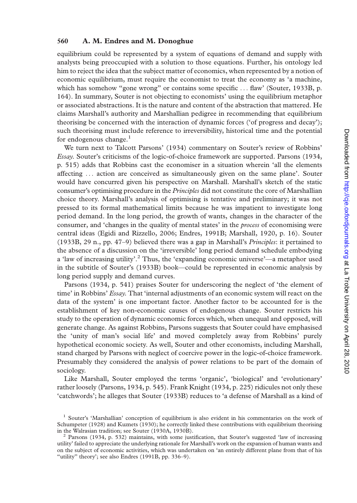equilibrium could be represented by a system of equations of demand and supply with analysts being preoccupied with a solution to those equations. Further, his ontology led him to reject the idea that the subject matter of economics, when represented by a notion of economic equilibrium, must require the economist to treat the economy as 'a machine, which has somehow "gone wrong" or contains some specific ... flaw' (Souter, 1933B, p. 164). In summary, Souter is not objecting to economists' using the equilibrium metaphor or associated abstractions. It is the nature and content of the abstraction that mattered. He claims Marshall's authority and Marshallian pedigree in recommending that equilibrium theorising be concerned with the interaction of dynamic forces ('of progress and decay'); such theorising must include reference to irreversibility, historical time and the potential for endogenous change. $<sup>1</sup>$ </sup>

We turn next to Talcott Parsons' (1934) commentary on Souter's review of Robbins' Essay. Souter's criticisms of the logic-of-choice framework are supported. Parsons (1934, p. 515) adds that Robbins cast the economiser in a situation wherein 'all the elements affecting ... action are conceived as simultaneously given on the same plane'. Souter would have concurred given his perspective on Marshall. Marshall's sketch of the static consumer's optimising procedure in the *Principles* did not constitute the core of Marshallian choice theory. Marshall's analysis of optimising is tentative and preliminary; it was not pressed to its formal mathematical limits because he was impatient to investigate long period demand. In the long period, the growth of wants, changes in the character of the consumer, and 'changes in the quality of mental states' in the *process* of economising were central ideas (Egidi and Rizzello, 2006; Endres, 1991B; Marshall, 1920, p. 16). Souter (1933B, 29 n., pp. 47–9) believed there was a gap in Marshall's Principles: it pertained to the absence of a discussion on the 'irreversible' long period demand schedule embodying a 'law of increasing utility'.<sup>2</sup> Thus, the 'expanding economic universe'—a metaphor used in the subtitle of Souter's (1933B) book—could be represented in economic analysis by long period supply and demand curves.

Parsons (1934, p. 541) praises Souter for underscoring the neglect of 'the element of time' in Robbins' *Essay*. That 'internal adjustments of an economic system will react on the data of the system' is one important factor. Another factor to be accounted for is the establishment of key non-economic causes of endogenous change. Souter restricts his study to the operation of dynamic economic forces which, when unequal and opposed, will generate change. As against Robbins, Parsons suggests that Souter could have emphasised the 'unity of man's social life' and moved completely away from Robbins' purely hypothetical economic society. As well, Souter and other economists, including Marshall, stand charged by Parsons with neglect of coercive power in the logic-of-choice framework. Presumably they considered the analysis of power relations to be part of the domain of sociology.

Like Marshall, Souter employed the terms 'organic', 'biological' and 'evolutionary' rather loosely (Parsons, 1934, p. 545). Frank Knight (1934, p. 225) ridicules not only these 'catchwords'; he alleges that Souter (1933B) reduces to 'a defense of Marshall as a kind of

<sup>&</sup>lt;sup>1</sup> Souter's 'Marshallian' conception of equilibrium is also evident in his commentaries on the work of Schumpeter (1928) and Kuznets (1930); he correctly linked these contributions with equilibrium theorising in the Walrasian tradition; see Souter (1930A, 1930B).

<sup>&</sup>lt;sup>2</sup> Parsons (1934, p. 532) maintains, with some justification, that Souter's suggested 'law of increasing utility' failed to appreciate the underlying rationale for Marshall's work on the expansion of human wants and on the subject of economic activities, which was undertaken on 'an entirely different plane from that of his "utility" theory'; see also Endres (1991B, pp. 336-9).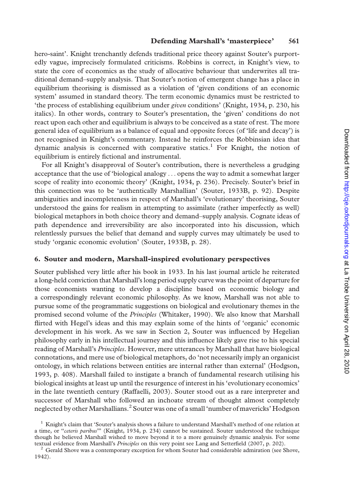### Defending Marshall's 'masterpiece' 561

hero-saint'. Knight trenchantly defends traditional price theory against Souter's purportedly vague, imprecisely formulated criticisms. Robbins is correct, in Knight's view, to state the core of economics as the study of allocative behaviour that underwrites all traditional demand–supply analysis. That Souter's notion of emergent change has a place in equilibrium theorising is dismissed as a violation of 'given conditions of an economic system' assumed in standard theory. The term economic dynamics must be restricted to 'the process of establishing equilibrium under given conditions' (Knight, 1934, p. 230, his italics). In other words, contrary to Souter's presentation, the 'given' conditions do not react upon each other and equilibrium is always to be conceived as a state of rest. The more general idea of equilibrium as a balance of equal and opposite forces (of 'life and decay') is not recognised in Knight's commentary. Instead he reinforces the Robbinsian idea that dynamic analysis is concerned with comparative statics.<sup>1</sup> For Knight, the notion of equilibrium is entirely fictional and instrumental.

For all Knight's disapproval of Souter's contribution, there is nevertheless a grudging acceptance that the use of 'biological analogy ... opens the way to admit a somewhat larger scope of reality into economic theory' (Knight, 1934, p. 236). Precisely. Souter's brief in this connection was to be 'authentically Marshallian' (Souter, 1933B, p. 92). Despite ambiguities and incompleteness in respect of Marshall's 'evolutionary' theorising, Souter understood the gains for realism in attempting to assimilate (rather imperfectly as well) biological metaphors in both choice theory and demand–supply analysis. Cognate ideas of path dependence and irreversibility are also incorporated into his discussion, which relentlessly pursues the belief that demand and supply curves may ultimately be used to study 'organic economic evolution' (Souter, 1933B, p. 28).

# 6. Souter and modern, Marshall-inspired evolutionary perspectives

Souter published very little after his book in 1933. In his last journal article he reiterated a long-held conviction that Marshall's long period supply curve was the point of departure for those economists wanting to develop a discipline based on economic biology and a correspondingly relevant economic philosophy. As we know, Marshall was not able to pursue some of the programmatic suggestions on biological and evolutionary themes in the promised second volume of the Principles (Whitaker, 1990). We also know that Marshall flirted with Hegel's ideas and this may explain some of the hints of 'organic' economic development in his work. As we saw in Section 2, Souter was influenced by Hegelian philosophy early in his intellectual journey and this influence likely gave rise to his special reading of Marshall's Principles. However, mere utterances by Marshall that have biological connotations, and mere use of biological metaphors, do 'not necessarily imply an organicist ontology, in which relations between entities are internal rather than external' (Hodgson, 1993, p. 408). Marshall failed to instigate a branch of fundamental research utilising his biological insights at least up until the resurgence of interest in his 'evolutionary economics' in the late twentieth century (Raffaelli, 2003). Souter stood out as a rare interpreter and successor of Marshall who followed an inchoate stream of thought almost completely neglected by other Marshallians.<sup>2</sup> Souter was one of a small 'number of mavericks' Hodgson

 $1$  Knight's claim that 'Souter's analysis shows a failure to understand Marshall's method of one relation at a time, or "ceteris paribus"' (Knight, 1934, p. 234) cannot be sustained. Souter understood the technique though he believed Marshall wished to move beyond it to a more genuinely dynamic analysis. For some textual evidence from Marshall's *Principles* on this very point see Lang and Setterfield (2007, p. 202).<br><sup>2</sup> Gerald Shove was a contemporary exception for whom Souter had considerable admiration (see Shove,

<sup>1942).</sup>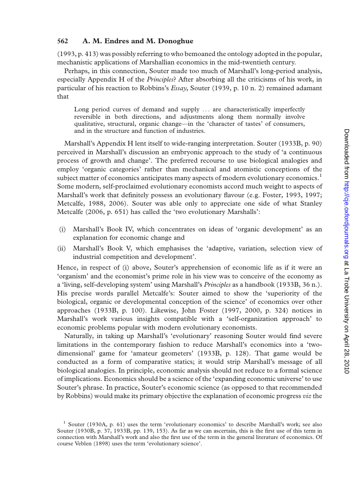(1993, p. 413) was possibly referring to who bemoaned the ontology adopted in the popular, mechanistic applications of Marshallian economics in the mid-twentieth century.

Perhaps, in this connection, Souter made too much of Marshall's long-period analysis, especially Appendix H of the *Principles*? After absorbing all the criticisms of his work, in particular of his reaction to Robbins's  $Essav$ , Souter (1939, p. 10 n. 2) remained adamant that

Long period curves of demand and supply ... are characteristically imperfectly reversible in both directions, and adjustments along them normally involve qualitative, structural, organic change—in the 'character of tastes' of consumers, and in the structure and function of industries.

Marshall's Appendix H lent itself to wide-ranging interpretation. Souter (1933B, p. 90) perceived in Marshall's discussion an embryonic approach to the study of 'a continuous process of growth and change'. The preferred recourse to use biological analogies and employ 'organic categories' rather than mechanical and atomistic conceptions of the subject matter of economics anticipates many aspects of modern evolutionary economics.<sup>1</sup> Some modern, self-proclaimed evolutionary economists accord much weight to aspects of Marshall's work that definitely possess an evolutionary flavour (e.g. Foster, 1993, 1997; Metcalfe, 1988, 2006). Souter was able only to appreciate one side of what Stanley Metcalfe (2006, p. 651) has called the 'two evolutionary Marshalls':

- (i) Marshall's Book IV, which concentrates on ideas of 'organic development' as an explanation for economic change and
- (ii) Marshall's Book V, which emphasises the 'adaptive, variation, selection view of industrial competition and development'.

Hence, in respect of (i) above, Souter's apprehension of economic life as if it were an 'organism' and the economist's prime role in his view was to conceive of the economy as a 'living, self-developing system' using Marshall's Principles as a handbook (1933B, 36 n.). His precise words parallel Metcalfe's: Souter aimed to show the 'superiority of the biological, organic or developmental conception of the science' of economics over other approaches (1933B, p. 100). Likewise, John Foster (1997, 2000, p. 324) notices in Marshall's work various insights compatible with a 'self-organization approach' to economic problems popular with modern evolutionary economists.

Naturally, in taking up Marshall's 'evolutionary' reasoning Souter would find severe limitations in the contemporary fashion to reduce Marshall's economics into a 'twodimensional' game for 'amateur geometers' (1933B, p. 128). That game would be conducted as a form of comparative statics; it would strip Marshall's message of all biological analogies. In principle, economic analysis should not reduce to a formal science of implications. Economics should be a science of the 'expanding economic universe' to use Souter's phrase. In practice, Souter's economic science (as opposed to that recommended by Robbins) would make its primary objective the explanation of economic progress viz the

<sup>&</sup>lt;sup>1</sup> Souter (1930A, p. 61) uses the term 'evolutionary economics' to describe Marshall's work; see also Souter (1930B, p. 37, 1933B, pp. 139, 153). As far as we can ascertain, this is the first use of this term in connection with Marshall's work and also the first use of the term in the general literature of economics. Of course Veblen (1898) uses the term 'evolutionary science'.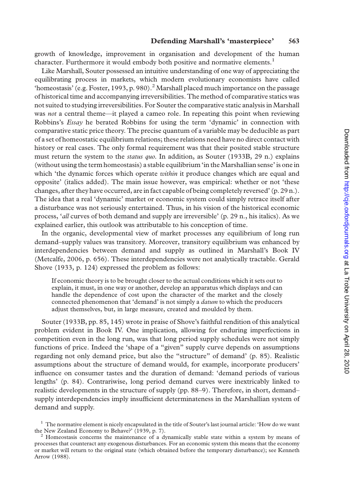growth of knowledge, improvement in organisation and development of the human character. Furthermore it would embody both positive and normative elements. $1$ 

Like Marshall, Souter possessed an intuitive understanding of one way of appreciating the equilibrating process in markets, which modern evolutionary economists have called 'homeostasis' (e.g. Foster, 1993, p. 980).<sup>2</sup> Marshall placed much importance on the passage of historical time and accompanying irreversibilities. The method of comparative statics was not suited to studying irreversibilities. For Souter the comparative static analysis in Marshall was not a central theme—it played a cameo role. In repeating this point when reviewing Robbins's Essay he berated Robbins for using the term 'dynamic' in connection with comparative static price theory. The precise quantum of a variable may be deducible as part of a set of homeostatic equilibrium relations; these relations need have no direct contact with history or real cases. The only formal requirement was that their posited stable structure must return the system to the *status quo*. In addition, as Souter (1933B, 29 n.) explains (without using the term homeostasis) a stable equilibrium 'in the Marshallian sense' is one in which 'the dynamic forces which operate *within* it produce changes which are equal and opposite' (italics added). The main issue however, was empirical: whether or not 'these changes, after they have occurred, are in fact capable of being completely reversed' (p. 29 n.). The idea that a real 'dynamic' market or economic system could simply retrace itself after a disturbance was not seriously entertained. Thus, in his vision of the historical economic process, 'all curves of both demand and supply are irreversible' (p. 29 n., his italics). As we explained earlier, this outlook was attributable to his conception of time.

In the organic, developmental view of market processes any equilibrium of long run demand–supply values was transitory. Moreover, transitory equilibrium was enhanced by interdependencies between demand and supply as outlined in Marshall's Book IV (Metcalfe, 2006, p. 656). These interdependencies were not analytically tractable. Gerald Shove (1933, p. 124) expressed the problem as follows:

If economic theory is to be brought closer to the actual conditions which it sets out to explain, it must, in one way or another, develop an apparatus which displays and can handle the dependence of cost upon the character of the market and the closely connected phenomenon that 'demand' is not simply a datum to which the producers adjust themselves, but, in large measure, created and moulded by them.

Souter (1933B, pp. 85, 145) wrote in praise of Shove's faithful rendition of this analytical problem evident in Book IV. One implication, allowing for enduring imperfections in competition even in the long run, was that long period supply schedules were not simply functions of price. Indeed the 'shape of a ''given'' supply curve depends on assumptions regarding not only demand price, but also the ''structure'' of demand' (p. 85). Realistic assumptions about the structure of demand would, for example, incorporate producers' influence on consumer tastes and the duration of demand: 'demand periods of various lengths' (p. 84). Contrariwise, long period demand curves were inextricably linked to realistic developments in the structure of supply (pp. 88–9). Therefore, in short, demand– supply interdependencies imply insufficient determinateness in the Marshallian system of demand and supply.

<sup>&</sup>lt;sup>1</sup> The normative element is nicely encapsulated in the title of Souter's last journal article: 'How do we want the New Zealand Economy to Behave?' (1939, p. 7).

Homeostasis concerns the maintenance of a dynamically stable state within a system by means of processes that counteract any exogenous disturbances. For an economic system this means that the economy or market will return to the original state (which obtained before the temporary disturbance); see Kenneth Arrow (1988).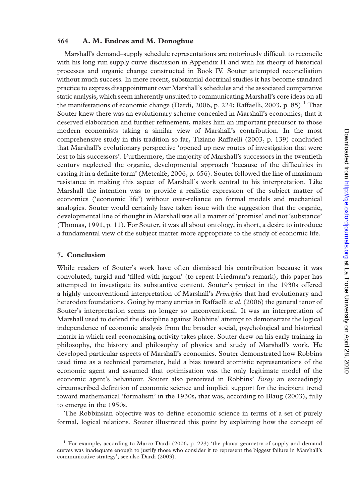Marshall's demand–supply schedule representations are notoriously difficult to reconcile with his long run supply curve discussion in Appendix H and with his theory of historical processes and organic change constructed in Book IV. Souter attempted reconciliation without much success. In more recent, substantial doctrinal studies it has become standard practice to express disappointment over Marshall's schedules and the associated comparative static analysis, which seem inherently unsuited to communicating Marshall's core ideas on all the manifestations of economic change (Dardi, 2006, p. 224; Raffaelli, 2003, p. 85).<sup>1</sup> That Souter knew there was an evolutionary scheme concealed in Marshall's economics, that it deserved elaboration and further refinement, makes him an important precursor to those modern economists taking a similar view of Marshall's contribution. In the most comprehensive study in this tradition so far, Tiziano Raffaelli (2003, p. 139) concluded that Marshall's evolutionary perspective 'opened up new routes of investigation that were lost to his successors'. Furthermore, the majority of Marshall's successors in the twentieth century neglected the organic, developmental approach 'because of the difficulties in casting it in a definite form' (Metcalfe, 2006, p. 656). Souter followed the line of maximum resistance in making this aspect of Marshall's work central to his interpretation. Like Marshall the intention was to provide a realistic expression of the subject matter of economics ('economic life') without over-reliance on formal models and mechanical analogies. Souter would certainly have taken issue with the suggestion that the organic, developmental line of thought in Marshall was all a matter of 'promise' and not 'substance' (Thomas, 1991, p. 11). For Souter, it was all about ontology, in short, a desire to introduce a fundamental view of the subject matter more appropriate to the study of economic life.

## 7. Conclusion

While readers of Souter's work have often dismissed his contribution because it was convoluted, turgid and 'filled with jargon' (to repeat Friedman's remark), this paper has attempted to investigate its substantive content. Souter's project in the 1930s offered a highly unconventional interpretation of Marshall's Principles that had evolutionary and heterodox foundations. Going by many entries in Raffaelli et al. (2006) the general tenor of Souter's interpretation seems no longer so unconventional. It was an interpretation of Marshall used to defend the discipline against Robbins' attempt to demonstrate the logical independence of economic analysis from the broader social, psychological and historical matrix in which real economising activity takes place. Souter drew on his early training in philosophy, the history and philosophy of physics and study of Marshall's work. He developed particular aspects of Marshall's economics. Souter demonstrated how Robbins used time as a technical parameter, held a bias toward atomistic representations of the economic agent and assumed that optimisation was the only legitimate model of the economic agent's behaviour. Souter also perceived in Robbins' Essay an exceedingly circumscribed definition of economic science and implicit support for the incipient trend toward mathematical 'formalism' in the 1930s, that was, according to Blaug (2003), fully to emerge in the 1950s.

The Robbinsian objective was to define economic science in terms of a set of purely formal, logical relations. Souter illustrated this point by explaining how the concept of

<sup>&</sup>lt;sup>1</sup> For example, according to Marco Dardi (2006, p. 223) 'the planar geometry of supply and demand curves was inadequate enough to justify those who consider it to represent the biggest failure in Marshall's communicative strategy'; see also Dardi (2003).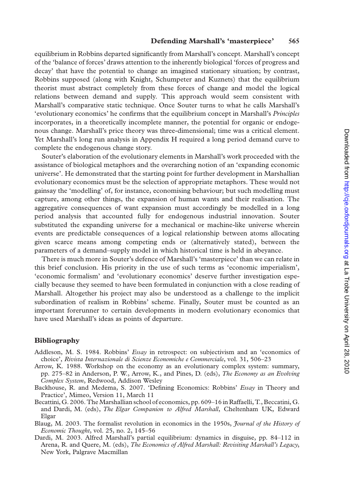### Defending Marshall's 'masterpiece' 565

equilibrium in Robbins departed significantly from Marshall's concept. Marshall's concept of the 'balance of forces' draws attention to the inherently biological 'forces of progress and decay' that have the potential to change an imagined stationary situation; by contrast, Robbins supposed (along with Knight, Schumpeter and Kuznets) that the equilibrium theorist must abstract completely from these forces of change and model the logical relations between demand and supply. This approach would seem consistent with Marshall's comparative static technique. Once Souter turns to what he calls Marshall's 'evolutionary economics' he confirms that the equilibrium concept in Marshall's Principles incorporates, in a theoretically incomplete manner, the potential for organic or endogenous change. Marshall's price theory was three-dimensional; time was a critical element. Yet Marshall's long run analysis in Appendix H required a long period demand curve to complete the endogenous change story.

Souter's elaboration of the evolutionary elements in Marshall's work proceeded with the assistance of biological metaphors and the overarching notion of an 'expanding economic universe'. He demonstrated that the starting point for further development in Marshallian evolutionary economics must be the selection of appropriate metaphors. These would not gainsay the 'modelling' of, for instance, economising behaviour; but such modelling must capture, among other things, the expansion of human wants and their realisation. The aggregative consequences of want expansion must accordingly be modelled in a long period analysis that accounted fully for endogenous industrial innovation. Souter substituted the expanding universe for a mechanical or machine-like universe wherein events are predictable consequences of a logical relationship between atoms allocating given scarce means among competing ends or (alternatively stated), between the parameters of a demand–supply model in which historical time is held in abeyance.

There is much more in Souter's defence of Marshall's 'masterpiece' than we can relate in this brief conclusion. His priority in the use of such terms as 'economic imperialism', 'economic formalism' and 'evolutionary economics' deserve further investigation especially because they seemed to have been formulated in conjunction with a close reading of Marshall. Altogether his project may also be understood as a challenge to the implicit subordination of realism in Robbins' scheme. Finally, Souter must be counted as an important forerunner to certain developments in modern evolutionary economics that have used Marshall's ideas as points of departure.

### Bibliography

- Addleson, M. S. 1984. Robbins' Essay in retrospect: on subjectivism and an 'economics of choice', Rivista Internazionale di Scienze Economiche e Commerciale, vol. 31, 506–23
- Arrow, K. 1988. Workshop on the economy as an evolutionary complex system: summary, pp. 275–82 in Anderson, P. W., Arrow, K., and Pines, D. (eds), The Economy as an Evolving Complex System, Redwood, Addison Wesley
- Backhouse, R. and Medema, S. 2007. 'Defining Economics: Robbins' Essay in Theory and Practice', Mimeo, Version 11, March 11
- Becattini, G. 2006. The Marshallian school of economics, pp. 609–16 in Raffaelli, T., Beccatini, G. and Dardi, M. (eds), The Elgar Companion to Alfred Marshall, Cheltenham UK, Edward Elgar
- Blaug, M. 2003. The formalist revolution in economics in the 1950s, *Journal of the History of* Economic Thought, vol. 25, no. 2, 145–56
- Dardi, M. 2003. Alfred Marshall's partial equilibrium: dynamics in disguise, pp. 84–112 in Arena, R. and Quere, M. (eds), The Economics of Alfred Marshall: Revisiting Marshall's Legacy, New York, Palgrave Macmillan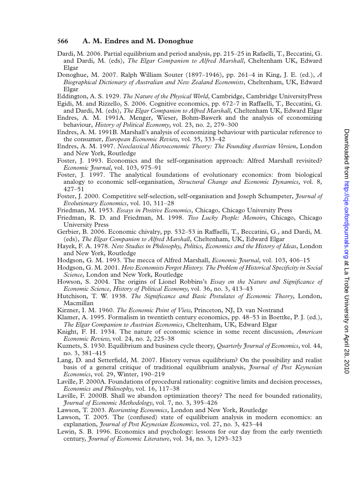- Dardi, M. 2006. Partial equilibrium and period analysis, pp. 215–25 in Rafaelli, T., Beccatini, G. and Dardi, M. (eds), The Elgar Companion to Alfred Marshall, Cheltenham UK, Edward Elgar
- Donoghue, M. 2007. Ralph William Souter (1897–1946), pp. 261–4 in King, J. E. (ed.), A Biographical Dictionary of Australian and New Zealand Economists, Cheltenham, UK, Edward Elgar

Eddington, A. S. 1929. The Nature of the Physical World, Cambridge, Cambridge UniversityPress

- Egidi, M. and Rizzello, S. 2006. Cognitive economics, pp. 672–7 in Raffaelli, T., Beccatini, G. and Dardi, M. (eds), The Elgar Companion to Alfred Marshall, Cheltenham UK, Edward Elgar
- Endres, A. M. 1991A. Menger, Wieser, Bohm-Bawerk and the analysis of economizing behaviour, History of Political Economy, vol. 23, no. 2, 279–300
- Endres, A. M. 1991B. Marshall's analysis of economizing behaviour with particular reference to the consumer, European Economic Review, vol. 35, 333–42
- Endres, A. M. 1997. Neoclassical Microeconomic Theory: The Founding Austrian Version, London and New York, Routledge
- Foster, J. 1993. Economics and the self-organisation approach: Alfred Marshall revisited? Economic Journal, vol. 103, 975-91
- Foster, J. 1997. The analytical foundations of evolutionary economics: from biological analogy to economic self-organisation, Structural Change and Economic Dynamics, vol. 8, 427–51
- Foster, J. 2000. Competitive self-selection, self-organisation and Joseph Schumpeter, *Journal of* Evolutionary Economics, vol. 10, 311–28
- Friedman, M. 1953. Essays in Positive Economics, Chicago, Chicago University Press
- Friedman, R. D. and Friedman, M. 1998. Two Lucky People: Memoirs, Chicago, Chicago University Press
- Gerbier, B. 2006. Economic chivalry, pp. 532–53 in Raffaelli, T., Beccatini, G., and Dardi, M. (eds), The Elgar Companion to Alfred Marshall, Cheltenham, UK, Edward Elgar
- Hayek, F. A. 1978. New Studies in Philosophy, Politics, Economics and the History of Ideas, London and New York, Routledge
- Hodgson, G. M. 1993. The mecca of Alfred Marshall, *Economic Journal*, vol. 103, 406–15
- Hodgson, G. M. 2001. How Economists Forgot History. The Problem of Historical Specificity in Social Science, London and New York, Routledge
- Howson, S. 2004. The origins of Lionel Robbins's Essay on the Nature and Significance of Economic Science, History of Political Economy, vol. 36, no. 3, 413–43
- Hutchison, T. W. 1938. The Significance and Basic Postulates of Economic Theory, London, Macmillan
- Kirzner, I. M. 1960. The Economic Point of View, Princeton, NJ, D. van Nostrand
- Klamer, A. 1995. Formalism in twentieth century economics, pp. 48–53 in Boettke, P. J. (ed.), The Elgar Companion to Austrian Economics, Cheltenham, UK, Edward Elgar
- Knight, F. H. 1934. The nature of economic science in some recent discussion, *American* Economic Review, vol. 24, no. 2, 225–38
- Kuznets, S. 1930. Equilibrium and business cycle theory, Quarterly Journal of Economics, vol. 44, no. 3, 381–415
- Lang, D. and Setterfield, M. 2007. History versus equilibrium? On the possibility and realist basis of a general critique of traditional equilibrium analysis, *Journal of Post Keynesian* Economics, vol. 29, Winter, 190–219
- Laville, F. 2000A. Foundations of procedural rationality: cognitive limits and decision processes, Economics and Philosophy, vol. 16, 117–38
- Laville, F. 2000B. Shall we abandon optimization theory? The need for bounded rationality, Journal of Economic Methodology, vol. 7, no. 3, 395–426
- Lawson, T. 2003. Reorienting Economics, London and New York, Routledge
- Lawson, T. 2005. The (confused) state of equilibrium analysis in modern economics: an explanation, *Journal of Post Keynesian Economics*, vol. 27, no. 3, 423-44
- Lewin, S. B. 1996. Economics and psychology: lessons for our day from the early twentieth century, Journal of Economic Literature, vol. 34, no. 3, 1293–323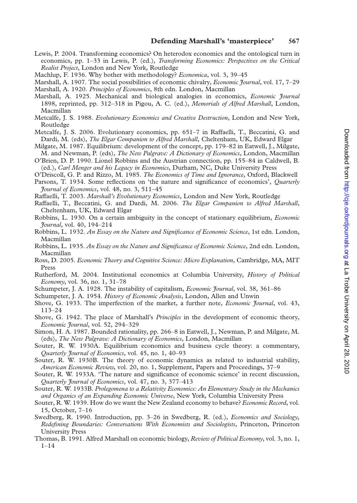- Lewis, P. 2004. Transforming economics? On heterodox economics and the ontological turn in economics, pp. 1–33 in Lewis, P. (ed.), Transforming Economics: Perspectives on the Critical Realist Project, London and New York, Routledge
- Machlup, F. 1936. Why bother with methodology? Economica, vol. 3, 39–45

Marshall, A. 1907. The social possibilities of economic chivalry, *Economic Journal*, vol. 17, 7–29 Marshall, A. 1920. Principles of Economics, 8th edn. London, Macmillan

- 
- Marshall, A. 1925. Mechanical and biological analogies in economics, *Economic Journal* 1898, reprinted, pp. 312–318 in Pigou, A. C. (ed.), *Memorials of Alfred Marshall*, London, Macmillan
- Metcalfe, J. S. 1988. Evolutionary Economics and Creative Destruction, London and New York, Routledge
- Metcalfe, J. S. 2006. Evolutionary economics, pp. 651–7 in Raffaelli, T., Beccatini, G. and Dardi, M. (eds), The Elgar Companion to Alfred Marshall, Cheltenham, UK, Edward Elgar
- Milgate, M. 1987. Equilibrium: development of the concept, pp. 179–82 in Eatwell, J., Milgate, M. and Newman, P. (eds), The New Palgrave: A Dictionary of Economics, London, Macmillan
- O'Brien, D. P. 1990. Lionel Robbins and the Austrian connection, pp. 155–84 in Caldwell, B. (ed.), Carl Menger and his Legacy in Economics, Durham, NC, Duke University Press
- O'Driscoll, G. P. and Rizzo, M. 1985. The Economics of Time and Ignorance, Oxford, Blackwell Parsons, T. 1934. Some reflections on 'the nature and significance of economics', *Quarterly*
- Journal of Economics, vol. 48, no. 3, 511–45
- Raffaelli, T. 2003. Marshall's Evolutionary Economics, London and New York, Routledge
- Raffaelli, T., Beccatini, G. and Dardi, M. 2006. The Elgar Companion to Alfred Marshall, Cheltenham, UK, Edward Elgar
- Robbins, L. 1930. On a certain ambiguity in the concept of stationary equilibrium, Economic Journal, vol. 40, 194–214
- Robbins, L. 1932. An Essay on the Nature and Significance of Economic Science, 1st edn. London, Macmillan
- Robbins, L. 1935. An Essay on the Nature and Significance of Economic Science, 2nd edn. London, Macmillan
- Ross, D. 2005. Economic Theory and Cognitive Science: Micro Explanation, Cambridge, MA, MIT Press
- Rutherford, M. 2004. Institutional economics at Columbia University, History of Political Economy, vol. 36, no. 1, 31–78
- Schumpeter, J. A. 1928. The instability of capitalism, *Economic Journal*, vol. 38, 361–86

Schumpeter, J. A. 1954. History of Economic Analysis, London, Allen and Unwin

- Shove, G. 1933. The imperfection of the market, a further note, *Economic Journal*, vol. 43, 113–24
- Shove, G. 1942. The place of Marshall's Principles in the development of economic theory, Economic Journal, vol. 52, 294-329
- Simon, H. A. 1987. Bounded rationality, pp. 266–8 in Eatwell, J., Newman, P. and Milgate, M. (eds), The New Palgrave: A Dictionary of Economics, London, Macmillan
- Souter, R. W. 1930A. Equilibrium economics and business cycle theory: a commentary, Quarterly Journal of Economics, vol. 45, no. 1, 40–93
- Souter, R. W. 1930B. The theory of economic dynamics as related to industrial stability, American Economic Review, vol. 20, no. 1, Supplement, Papers and Proceedings, 37–9
- Souter, R. W. 1933A. 'The nature and significance of economic science' in recent discussion, Quarterly Journal of Economics, vol. 47, no. 3, 377–413
- Souter, R. W. 1933B. Prolegomena to a Relativity Economics: An Elementary Study in the Mechanics and Organics of an Expanding Economic Universe, New York, Columbia University Press
- Souter, R. W. 1939. How do we want the New Zealand economy to behave? Economic Record, vol. 15, October, 7–16
- Swedberg, R. 1990. Introduction, pp. 3–26 in Swedberg, R. (ed.), Economics and Sociology, Redefining Boundaries: Conversations With Economists and Sociologists, Princeton, Princeton University Press
- Thomas, B. 1991. Alfred Marshall on economic biology, Review of Political Economy, vol. 3, no. 1, 1–14